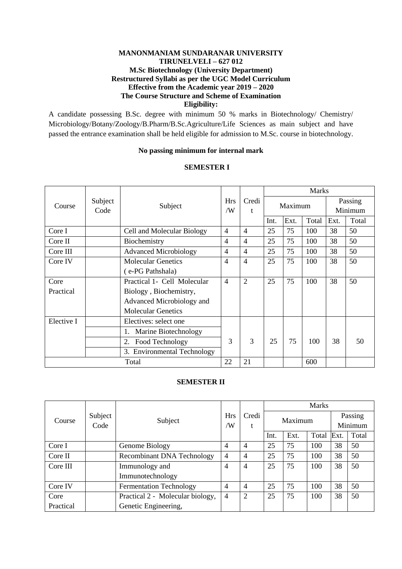## **MANONMANIAM SUNDARANAR UNIVERSITY TIRUNELVELI – 627 012 M.Sc Biotechnology (University Department) Restructured Syllabi as per the UGC Model Curriculum Effective from the Academic year 2019 – 2020 The Course Structure and Scheme of Examination Eligibility:**

A candidate possessing B.Sc. degree with minimum 50 % marks in Biotechnology/ Chemistry/ Microbiology/Botany/Zoology/B.Pharm/B.Sc.Agriculture/Life Sciences as main subject and have passed the entrance examination shall be held eligible for admission to M.Sc. course in biotechnology.

#### **No passing minimum for internal mark**

## **SEMESTER I**

|            |                 |                              |                  |                |      | <b>Marks</b> |       |      |                    |
|------------|-----------------|------------------------------|------------------|----------------|------|--------------|-------|------|--------------------|
| Course     | Subject<br>Code | Subject                      | <b>Hrs</b><br>/W | Credi<br>t     |      | Maximum      |       |      | Passing<br>Minimum |
|            |                 |                              |                  |                | Int. | Ext.         | Total | Ext. | Total              |
| Core I     |                 | Cell and Molecular Biology   | $\overline{4}$   | $\overline{4}$ | 25   | 75           | 100   | 38   | 50                 |
| Core II    |                 | Biochemistry                 | 4                | 4              | 25   | 75           | 100   | 38   | 50                 |
| Core III   |                 | <b>Advanced Microbiology</b> | 4                | 4              | 25   | 75           | 100   | 38   | 50                 |
| Core IV    |                 | <b>Molecular Genetics</b>    | 4                | $\overline{4}$ | 25   | 75           | 100   | 38   | 50                 |
|            |                 | (e-PG Pathshala)             |                  |                |      |              |       |      |                    |
| Core       |                 | Practical 1- Cell Molecular  | $\overline{4}$   | $\overline{2}$ | 25   | 75           | 100   | 38   | 50                 |
| Practical  |                 | Biology, Biochemistry,       |                  |                |      |              |       |      |                    |
|            |                 | Advanced Microbiology and    |                  |                |      |              |       |      |                    |
|            |                 | <b>Molecular Genetics</b>    |                  |                |      |              |       |      |                    |
| Elective I |                 | Electives: select one        |                  |                |      |              |       |      |                    |
|            |                 | Marine Biotechnology<br>1.   |                  |                |      |              |       |      |                    |
|            |                 | 2.<br>Food Technology        | 3                | 3              | 25   | 75           | 100   | 38   | 50                 |
|            |                 | 3. Environmental Technology  |                  |                |      |              |       |      |                    |
|            |                 | Total                        | 22               | 21             |      |              | 600   |      |                    |

## **SEMESTER II**

|           |                 |                                   |                  |                | <b>Marks</b> |         |       |      |                    |
|-----------|-----------------|-----------------------------------|------------------|----------------|--------------|---------|-------|------|--------------------|
| Course    | Subject<br>Code | Subject                           | <b>Hrs</b><br>/W | Credi<br>t     |              | Maximum |       |      | Passing<br>Minimum |
|           |                 |                                   |                  |                | Int.         | Ext.    | Total | Ext. | Total              |
| Core I    |                 | Genome Biology                    | 4                | 4              | 25           | 75      | 100   | 38   | 50                 |
| Core II   |                 | <b>Recombinant DNA Technology</b> | $\overline{4}$   | 4              | 25           | 75      | 100   | 38   | 50                 |
| Core III  |                 | Immunology and                    | 4                | 4              | 25           | 75      | 100   | 38   | 50                 |
|           |                 | Immunotechnology                  |                  |                |              |         |       |      |                    |
| Core IV   |                 | <b>Fermentation Technology</b>    | $\overline{4}$   | 4              | 25           | 75      | 100   | 38   | 50                 |
| Core      |                 | Practical 2 - Molecular biology,  | 4                | $\overline{2}$ | 25           | 75      | 100   | 38   | 50                 |
| Practical |                 | Genetic Engineering,              |                  |                |              |         |       |      |                    |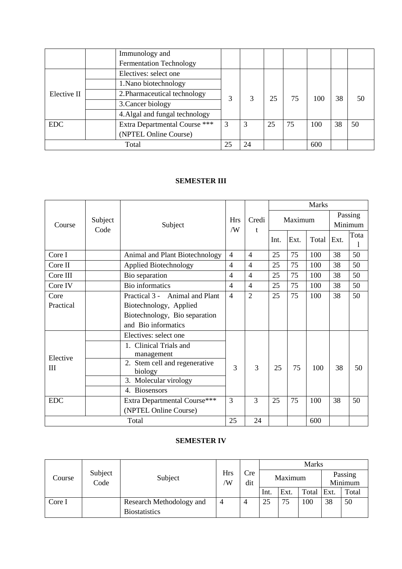|             | Immunology and                 |    |    |    |    |     |    |    |
|-------------|--------------------------------|----|----|----|----|-----|----|----|
|             | <b>Fermentation Technology</b> |    |    |    |    |     |    |    |
|             | Electives: select one          |    |    |    |    |     |    |    |
|             | 1. Nano biotechnology          |    | 3  | 25 | 75 | 100 | 38 |    |
| Elective II | 2. Pharmaceutical technology   | 3  |    |    |    |     |    | 50 |
|             | 3. Cancer biology              |    |    |    |    |     |    |    |
|             | 4. Algal and fungal technology |    |    |    |    |     |    |    |
| <b>EDC</b>  | Extra Departmental Course ***  | 3  | 3  | 25 | 75 | 100 | 38 | 50 |
|             | (NPTEL Online Course)          |    |    |    |    |     |    |    |
|             | Total                          | 25 | 24 |    |    | 600 |    |    |

## **SEMESTER III**

|            | <b>Hrs</b><br>Subject<br>Subject<br>Code |                                          |                  |                |         | <b>Marks</b> |      |                    |       |      |      |
|------------|------------------------------------------|------------------------------------------|------------------|----------------|---------|--------------|------|--------------------|-------|------|------|
| Course     |                                          |                                          | Credi<br>/W<br>t |                | Maximum |              |      | Passing<br>Minimum |       |      |      |
|            |                                          |                                          |                  |                |         |              | Int. | Ext.               | Total | Ext. | Tota |
| Core I     |                                          | Animal and Plant Biotechnology           | $\overline{4}$   | $\overline{4}$ | 25      | 75           | 100  | 38                 | 50    |      |      |
| Core II    |                                          | <b>Applied Biotechnology</b>             | $\overline{4}$   | $\overline{4}$ | 25      | 75           | 100  | 38                 | 50    |      |      |
| Core III   |                                          | Bio separation                           | $\overline{4}$   | $\overline{4}$ | 25      | 75           | 100  | 38                 | 50    |      |      |
| Core IV    |                                          | <b>Bio</b> informatics                   | $\overline{4}$   | $\overline{4}$ | 25      | 75           | 100  | 38                 | 50    |      |      |
| Core       |                                          | Practical 3 - Animal and Plant           | $\overline{4}$   | $\overline{2}$ | 25      | 75           | 100  | 38                 | 50    |      |      |
| Practical  |                                          | Biotechnology, Applied                   |                  |                |         |              |      |                    |       |      |      |
|            |                                          | Biotechnology, Bio separation            |                  |                |         |              |      |                    |       |      |      |
|            |                                          | and Bio informatics                      |                  |                |         |              |      |                    |       |      |      |
|            |                                          | Electives: select one                    |                  |                |         |              |      |                    |       |      |      |
| Elective   |                                          | 1. Clinical Trials and<br>management     |                  |                |         |              |      |                    |       |      |      |
| III        |                                          | 2. Stem cell and regenerative<br>biology | 3                | 3              | 25      | 75           | 100  | 38                 | 50    |      |      |
|            |                                          | 3. Molecular virology                    |                  |                |         |              |      |                    |       |      |      |
|            |                                          | 4. Biosensors                            |                  |                |         |              |      |                    |       |      |      |
| <b>EDC</b> |                                          | Extra Departmental Course***             | 3                | 3              | 25      | 75           | 100  | 38                 | 50    |      |      |
|            |                                          | (NPTEL Online Course)                    |                  |                |         |              |      |                    |       |      |      |
|            |                                          | Total                                    | 25               | 24             |         |              | 600  |                    |       |      |      |

# **SEMESTER IV**

|        |                 |                          |                 |            |         |      | <b>Marks</b> |                    |       |
|--------|-----------------|--------------------------|-----------------|------------|---------|------|--------------|--------------------|-------|
| Course | Subject<br>Code | Subject                  | <b>Hrs</b><br>W | Cre<br>dit | Maximum |      |              | Passing<br>Minimum |       |
|        |                 |                          |                 |            | Int.    | Ext. | Total Ext.   |                    | Total |
| Core I |                 | Research Methodology and | 4               | 4          | 25      | 75   | 100          | 38                 | 50    |
|        |                 | <b>Biostatistics</b>     |                 |            |         |      |              |                    |       |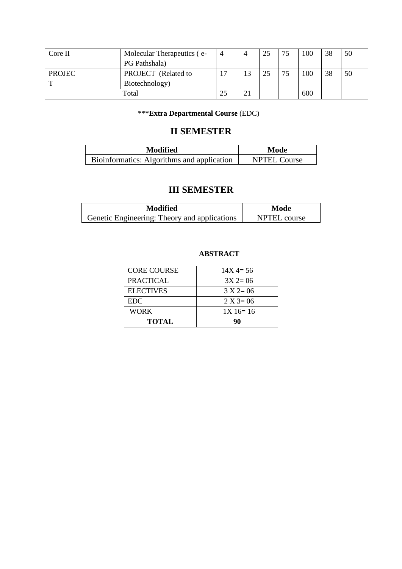| Core II       | Molecular Therapeutics (e- |    | 25 | 75 | 100 | 38 | 50 |
|---------------|----------------------------|----|----|----|-----|----|----|
|               | PG Pathshala)              |    |    |    |     |    |    |
| <b>PROJEC</b> | PROJECT (Related to        | 13 | 25 | 75 | 100 | 38 | 50 |
|               | Biotechnology)             |    |    |    |     |    |    |
|               | Total                      |    |    |    | 600 |    |    |

# \*\*\***Extra Departmental Course** (EDC)

# **II SEMESTER**

| <b>Modified</b>                            | Mode                |
|--------------------------------------------|---------------------|
| Bioinformatics: Algorithms and application | <b>NPTEL Course</b> |

# **III SEMESTER**

| <b>Modified</b>                              | Mode         |
|----------------------------------------------|--------------|
| Genetic Engineering: Theory and applications | NPTEL course |

# **ABSTRACT**

| <b>CORE COURSE</b> | $14X = 56$      |
|--------------------|-----------------|
| <b>PRACTICAL</b>   | $3X$ 2= 06      |
| <b>ELECTIVES</b>   | $3 X 2 = 06$    |
| <b>EDC</b>         | $2 X 3 = 06$    |
| <b>WORK</b>        | $1X \, 16 = 16$ |
| <b>TOTAL</b>       | 90              |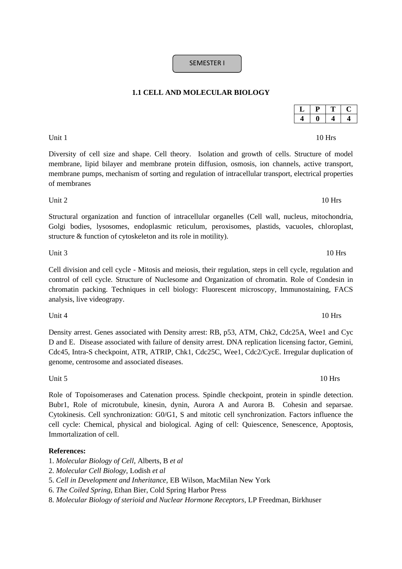**1.1 CELL AND MOLECULAR BIOLOGY** 

SEMESTER I

Diversity of cell size and shape. Cell theory. Isolation and growth of cells. Structure of model membrane, lipid bilayer and membrane protein diffusion, osmosis, ion channels, active transport, membrane pumps, mechanism of sorting and regulation of intracellular transport, electrical properties of membranes

Structural organization and function of intracellular organelles (Cell wall, nucleus, mitochondria, Golgi bodies, lysosomes, endoplasmic reticulum, peroxisomes, plastids, vacuoles, chloroplast, structure & function of cytoskeleton and its role in motility).

Cell division and cell cycle - Mitosis and meiosis, their regulation, steps in cell cycle, regulation and control of cell cycle. Structure of Nuclesome and Organization of chromatin. Role of Condesin in chromatin packing. Techniques in cell biology: Fluorescent microscopy, Immunostaining, FACS analysis, live videograpy.

Density arrest. Genes associated with Density arrest: RB, p53, ATM, Chk2, Cdc25A, Wee1 and Cyc D and E. Disease associated with failure of density arrest. DNA replication licensing factor, Gemini, Cdc45, Intra-S checkpoint, ATR, ATRIP, Chk1, Cdc25C, Wee1, Cdc2/CycE. Irregular duplication of genome, centrosome and associated diseases.

Unit  $4\,$  10 Hrs

Role of Topoisomerases and Catenation process. Spindle checkpoint, protein in spindle detection. Bubr1, Role of microtubule, kinesin, dynin, Aurora A and Aurora B. Cohesin and separsae. Cytokinesis. Cell synchronization: G0/G1, S and mitotic cell synchronization. Factors influence the cell cycle: Chemical, physical and biological. Aging of cell: Quiescence, Senescence, Apoptosis, Immortalization of cell.

#### **References:**

- 1. *Molecular Biology of Cell,* Alberts, B *et al*
- 2. *Molecular Cell Biology,* Lodish *et al*
- 5. *Cell in Development and Inheritance,* EB Wilson, MacMilan New York
- 6. *The Coiled Spring,* Ethan Bier, Cold Spring Harbor Press
- 8. *Molecular Biology of sterioid and Nuclear Hormone Receptors,* LP Freedman, Birkhuser

Unit 3 and 10 Hrs

Unit  $5 \qquad \qquad 10 \text{ Hrs}$ 

## Unit 2  $10 \text{ Hrs}$

Unit  $1 \t 10 \text{ Hrs}$ 

 $L$  | **P** | **T** | **C 4 0 4 4**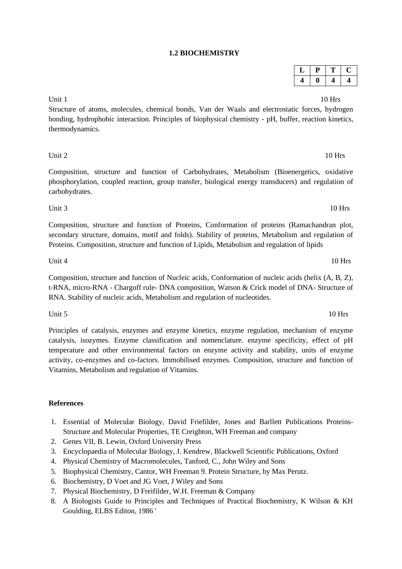# **1.2 BIOCHEMISTRY**

Unit  $1 \qquad \qquad$  10 Hrs

Structure of atoms, molecules, chemical bonds, Van der Waals and electrostatic forces, hydrogen bonding, hydrophobic interaction. Principles of biophysical chemistry - pH, buffer, reaction kinetics, thermodynamics.

Unit 2 and 10 Hrs

Composition, structure and function of Carbohydrates, Metabolism (Bioenergetics, oxidative phosphorylation, coupled reaction, group transfer, biological energy transducers) and regulation of carbohydrates.

Unit 3 10 Hrs

Composition, structure and function of Proteins, Conformation of proteins (Ramachandran plot, secondary structure, domains, motif and folds). Stability of proteins, Metabolism and regulation of Proteins. Composition, structure and function of Lipids, Metabolism and regulation of lipids

## Unit 4 10 Hrs

Composition, structure and function of Nucleic acids, Conformation of nucleic acids (helix (A, B, Z), t-RNA, micro-RNA - Chargoff rule- DNA composition, Watson & Crick model of DNA- Structure of RNA. Stability of nucleic acids, Metabolism and regulation of nucleotides.

Unit  $5 \qquad \qquad 10 \text{ Hrs}$ 

Principles of catalysis, enzymes and enzyme kinetics, enzyme regulation, mechanism of enzyme catalysis, isozymes. Enzyme classification and nomenclature. enzyme specificity, effect of pH temperature and other environmental factors on enzyme activity and stability, units of enzyme activity, co-enzymes and co-factors. Immobilised enzymes. Composition, structure and function of Vitamins, Metabolism and regulation of Vitamins.

## **References**

- 1. Essential of Molecular Biology, David Friefilder, Jones and Barllett Publications Proteins-Structure and Molecular Properties, TE Creighton, WH Freeman and company
- 2. Genes VII, B. Lewin, Oxford University Press
- 3. Encyclopaedia of Molecular Biology, J. Kendrew, Blackwell Scientific Publications, Oxford
- 4. Physical Chemistry of Macromolecules, Tanford, C., John Wiley and Sons
- 5. Biophysical Chemistry, Cantor, WH Freeman 9. Protein Structure, by Max Perutz.
- 6. Biochemistry, D Voet and JG Voet, J Wiley and Sons
- 7. Physical Biochemistry, D Freifilder, W.H. Freeman & Company
- 8. A Biologists Guide to Principles and Techniques of Practical Biochemistry, K Wilson & KH Goulding, ELBS Editon, 1986 '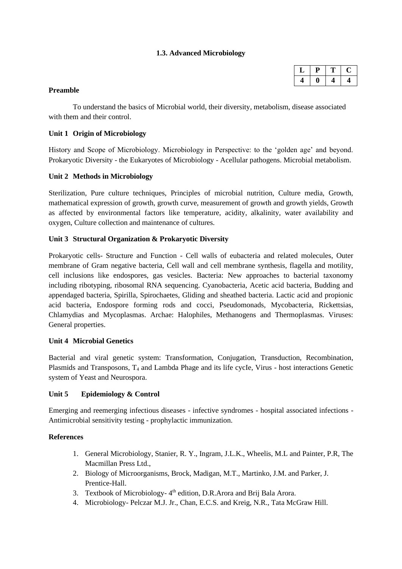## **1.3. Advanced Microbiology**

| ۰., | ۰ |  |
|-----|---|--|
|     |   |  |

## **Preamble**

To understand the basics of Microbial world, their diversity, metabolism, disease associated with them and their control.

## **Unit 1 Origin of Microbiology**

History and Scope of Microbiology. Microbiology in Perspective: to the 'golden age' and beyond. Prokaryotic Diversity - the Eukaryotes of Microbiology - Acellular pathogens. Microbial metabolism.

## **Unit 2 Methods in Microbiology**

Sterilization, Pure culture techniques, Principles of microbial nutrition, Culture media, Growth, mathematical expression of growth, growth curve, measurement of growth and growth yields, Growth as affected by environmental factors like temperature, acidity, alkalinity, water availability and oxygen, Culture collection and maintenance of cultures.

## **Unit 3 Structural Organization & Prokaryotic Diversity**

Prokaryotic cells- Structure and Function - Cell walls of eubacteria and related molecules, Outer membrane of Gram negative bacteria, Cell wall and cell membrane synthesis, flagella and motility, cell inclusions like endospores, gas vesicles. Bacteria: New approaches to bacterial taxonomy including ribotyping, ribosomal RNA sequencing. Cyanobacteria, Acetic acid bacteria, Budding and appendaged bacteria, Spirilla, Spirochaetes, Gliding and sheathed bacteria. Lactic acid and propionic acid bacteria, Endospore forming rods and cocci, Pseudomonads, Mycobacteria, Rickettsias, Chlamydias and Mycoplasmas. Archae: Halophiles, Methanogens and Thermoplasmas. Viruses: General properties.

## **Unit 4 Microbial Genetics**

Bacterial and viral genetic system: Transformation, Conjugation, Transduction, Recombination, Plasmids and Transposons,  $T_4$  and Lambda Phage and its life cycle, Virus - host interactions Genetic system of Yeast and Neurospora.

## **Unit 5 Epidemiology & Control**

Emerging and reemerging infectious diseases - infective syndromes - hospital associated infections - Antimicrobial sensitivity testing - prophylactic immunization.

## **References**

- 1. General Microbiology, Stanier, R. Y., Ingram, J.L.K., Wheelis, M.L and Painter, P.R, The Macmillan Press Ltd.,
- 2. Biology of Microorganisms, Brock, Madigan, M.T., Martinko, J.M. and Parker, J. Prentice-Hall.
- 3. Textbook of Microbiology-4<sup>th</sup> edition, D.R.Arora and Brij Bala Arora.
- 4. Microbiology- Pelczar M.J. Jr., Chan, E.C.S. and Kreig, N.R., Tata McGraw Hill.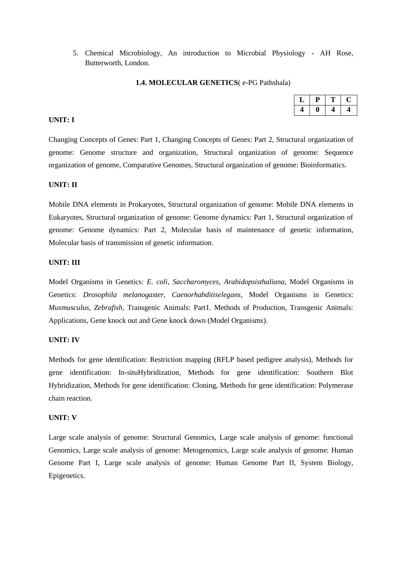5. Chemical Microbiology, An introduction to Microbial Physiology - AH Rose, Butterworth, London.

#### **1.4. MOLECULAR GENETICS**( e-PG Pathshala)

### **UNIT: I**

Changing Concepts of Genes: Part 1, Changing Concepts of Genes: Part 2, Structural organization of genome: Genome structure and organization, Structural organization of genome: Sequence organization of genome, Comparative Genomes, Structural organization of genome: Bioinformatics.

#### **UNIT: II**

Mobile DNA elements in Prokaryotes, Structural organization of genome: Mobile DNA elements in Eukaryotes, Structural organization of genome: Genome dynamics: Part 1, Structural organization of genome: Genome dynamics: Part 2, Molecular basis of maintenance of genetic information, Molecular basis of transmission of genetic information.

## **UNIT: III**

Model Organisms in Genetics: *E. coli, Saccharomyces, Arabidopsisthaliana*, Model Organisms in Genetics: *Drosophila melanogaster, Caenorhabditiselegans*, Model Organisms in Genetics: *Musmusculus, Zebrafish*, Transgenic Animals: Part1. Methods of Production, Transgenic Animals: Applications, Gene knock out and Gene knock down (Model Organisms).

#### **UNIT: IV**

Methods for gene identification: Restriction mapping (RFLP based pedigree analysis), Methods for gene identification: In-situHybridization, Methods for gene identification: Southern Blot Hybridization, Methods for gene identification: Cloning, Methods for gene identification: Polymerase chain reaction.

#### **UNIT: V**

Large scale analysis of genome: Structural Genomics, Large scale analysis of genome: functional Genomics, Large scale analysis of genome: Metogenomics, Large scale analysis of genome: Human Genome Part I, Large scale analysis of genome: Human Genome Part II, System Biology, Epigenetics.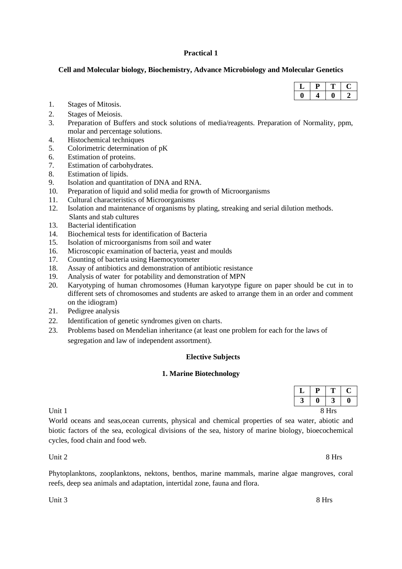## **Practical 1**

## **Cell and Molecular biology, Biochemistry, Advance Microbiology and Molecular Genetics**

- 1. Stages of Mitosis.
- 2. Stages of Meiosis.
- 3. Preparation of Buffers and stock solutions of media/reagents. Preparation of Normality, ppm, molar and percentage solutions.
- 4. Histochemical techniques
- 5. Colorimetric determination of pK
- 6. Estimation of proteins.
- 7. Estimation of carbohydrates.
- 8. Estimation of lipids.
- 9. Isolation and quantitation of DNA and RNA.
- 10. Preparation of liquid and solid media for growth of Microorganisms
- 11. Cultural characteristics of Microorganisms
- 12. Isolation and maintenance of organisms by plating, streaking and serial dilution methods. Slants and stab cultures
- 13. Bacterial identification
- 14. Biochemical tests for identification of Bacteria
- 15. Isolation of microorganisms from soil and water
- 16. Microscopic examination of bacteria, yeast and moulds
- 17. Counting of bacteria using Haemocytometer
- 18. Assay of antibiotics and demonstration of antibiotic resistance
- 19. Analysis of water for potability and demonstration of MPN
- 20. Karyotyping of human chromosomes (Human karyotype figure on paper should be cut in to different sets of chromosomes and students are asked to arrange them in an order and comment on the idiogram)
- 21. Pedigree analysis
- 22. Identification of genetic syndromes given on charts.
- 23. Problems based on Mendelian inheritance (at least one problem for each for the laws of segregation and law of independent assortment).

## **Elective Subjects**

## **1. Marine Biotechnology**

| ப           | D<br><u>д</u>    | $\mathbf{T}$<br><b>.</b> | $\sim$<br>◡      |  |
|-------------|------------------|--------------------------|------------------|--|
| $\sim$<br>ັ | $\boldsymbol{0}$ | $\rightarrow$<br>ັ       | $\boldsymbol{0}$ |  |
|             |                  | 8 Hrs                    |                  |  |

World oceans and seas,ocean currents, physical and chemical properties of sea water, abiotic and biotic factors of the sea, ecological divisions of the sea, history of marine biology, bioecochemical cycles, food chain and food web.

Unit 2 8 Hrs

Phytoplanktons, zooplanktons, nektons, benthos, marine mammals, marine algae mangroves, coral reefs, deep sea animals and adaptation, intertidal zone, fauna and flora.

Unit 3 8 Hrs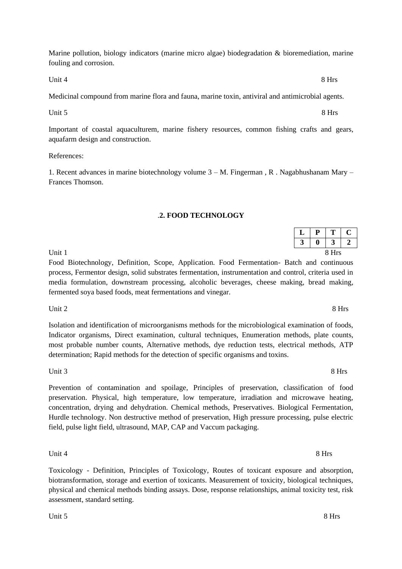Marine pollution, biology indicators (marine micro algae) biodegradation & bioremediation, marine fouling and corrosion.

Unit 4 8 Hrs

Medicinal compound from marine flora and fauna, marine toxin, antiviral and antimicrobial agents.

Unit 5 8 Hrs

Important of coastal aquaculturem, marine fishery resources, common fishing crafts and gears, aquafarm design and construction.

References:

1. Recent advances in marine biotechnology volume 3 – M. Fingerman , R . Nagabhushanam Mary – Frances Thomson.

## .**2. FOOD TECHNOLOGY**

| $\mathbf{r}$<br>ப  | <u>д</u> | $P$ $T$ $C$<br>$\mathbf{r}$ | ◡ |
|--------------------|----------|-----------------------------|---|
| $\rightarrow$<br>Ĵ | $\bf{0}$ | $3 \mid 2$                  |   |
|                    |          | 8 Hrs                       |   |

Food Biotechnology, Definition, Scope, Application. Food Fermentation- Batch and continuous process, Fermentor design, solid substrates fermentation, instrumentation and control, criteria used in media formulation, downstream processing, alcoholic beverages, cheese making, bread making, fermented soya based foods, meat fermentations and vinegar.

Unit 2 8 Hrs

Isolation and identification of microorganisms methods for the microbiological examination of foods, Indicator organisms, Direct examination, cultural techniques, Enumeration methods, plate counts, most probable number counts, Alternative methods, dye reduction tests, electrical methods, ATP determination; Rapid methods for the detection of specific organisms and toxins.

Unit 3 8 Hrs

Prevention of contamination and spoilage, Principles of preservation, classification of food preservation. Physical, high temperature, low temperature, irradiation and microwave heating, concentration, drying and dehydration. Chemical methods, Preservatives. Biological Fermentation, Hurdle technology. Non destructive method of preservation, High pressure processing, pulse electric field, pulse light field, ultrasound, MAP, CAP and Vaccum packaging.

Toxicology - Definition, Principles of Toxicology, Routes of toxicant exposure and absorption, biotransformation, storage and exertion of toxicants. Measurement of toxicity, biological techniques, physical and chemical methods binding assays. Dose, response relationships, animal toxicity test, risk assessment, standard setting.

Unit 4 8 Hrs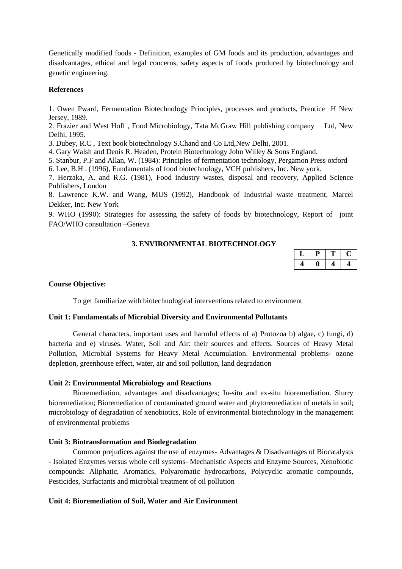Genetically modified foods - Definition, examples of GM foods and its production, advantages and disadvantages, ethical and legal concerns, safety aspects of foods produced by biotechnology and genetic engineering.

#### **References**

1. Owen Pward, Fermentation Biotechnology Principles, processes and products, Prentice H New Jersey, 1989.

2. Frazier and West Hoff , Food Microbiology, Tata McGraw Hill publishing company Ltd, New Delhi, 1995.

3. Dubey, R.C , Text book biotechnology S.Chand and Co Ltd,New Delhi, 2001.

4. Gary Walsh and Denis R. Headen, Protein Biotechnology John Willey & Sons England.

5. Stanbur, P.F and Allan, W. (1984): Principles of fermentation technology, Pergamon Press oxford

6. Lee, B.H . (1996), Fundamentals of food biotechnology, VCH publishers, Inc. New york.

7. Herzaka, A. and R.G. (1981), Food industry wastes, disposal and recovery, Applied Science Publishers, London

8. Lawrence K.W. and Wang, MUS (1992), Handbook of Industrial waste treatment, Marcel Dekker, Inc. New York

9. WHO (1990): Strategies for assessing the safety of foods by biotechnology, Report of joint FAO/WHO consultation –Geneva

## **3. ENVIRONMENTAL BIOTECHNOLOGY**

#### **Course Objective:**

To get familiarize with biotechnological interventions related to environment

#### **Unit 1: Fundamentals of Microbial Diversity and Environmental Pollutants**

General characters, important uses and harmful effects of a) Protozoa b) algae, c) fungi, d) bacteria and e) viruses. Water, Soil and Air: their sources and effects. Sources of Heavy Metal Pollution, Microbial Systems for Heavy Metal Accumulation. Environmental problems- ozone depletion, greenhouse effect, water, air and soil pollution, land degradation

#### **Unit 2: Environmental Microbiology and Reactions**

Bioremediation, advantages and disadvantages; In-situ and ex-situ bioremediation. Slurry bioremediation; Bioremediation of contaminated ground water and phytoremediation of metals in soil; microbiology of degradation of xenobiotics, Role of environmental biotechnology in the management of environmental problems

#### **Unit 3: Biotransformation and Biodegradation**

Common prejudices against the use of enzymes- Advantages & Disadvantages of Biocatalysts - Isolated Enzymes versus whole cell systems- Mechanistic Aspects and Enzyme Sources, Xenobiotic compounds: Aliphatic, Aromatics, Polyaromatic hydrocarbons, Polycyclic aromatic compounds, Pesticides, Surfactants and microbial treatment of oil pollution

## **Unit 4: Bioremediation of Soil, Water and Air Environment**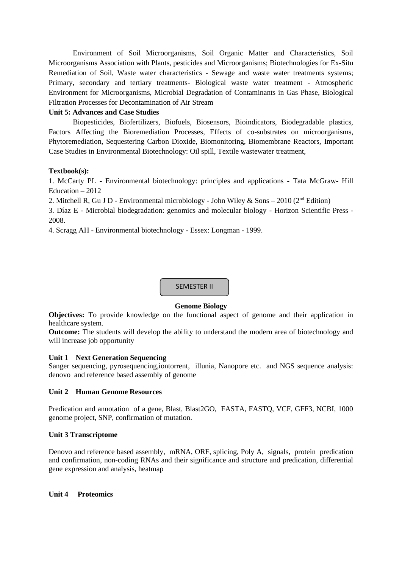Environment of Soil Microorganisms, Soil Organic Matter and Characteristics, Soil Microorganisms Association with Plants, pesticides and Microorganisms; Biotechnologies for Ex-Situ Remediation of Soil, Waste water characteristics - Sewage and waste water treatments systems; Primary, secondary and tertiary treatments- Biological waste water treatment - Atmospheric Environment for Microorganisms, Microbial Degradation of Contaminants in Gas Phase, Biological Filtration Processes for Decontamination of Air Stream

## **Unit 5: Advances and Case Studies**

Biopesticides, Biofertilizers, Biofuels, Biosensors, Bioindicators, Biodegradable plastics, Factors Affecting the Bioremediation Processes, Effects of co-substrates on microorganisms, Phytoremediation, Sequestering Carbon Dioxide, Biomonitoring, Biomembrane Reactors, Important Case Studies in Environmental Biotechnology: Oil spill, Textile wastewater treatment,

## **Textbook(s):**

1. McCarty PL - Environmental biotechnology: principles and applications - Tata McGraw- Hill Education – 2012

2. Mitchell R, Gu J D - Environmental microbiology - John Wiley & Sons – 2010 ( $2<sup>nd</sup>$  Edition)

3. Díaz E - Microbial biodegradation: genomics and molecular biology - Horizon Scientific Press - 2008.

4. Scragg AH - Environmental biotechnology - Essex: Longman - 1999.



## **Genome Biology**

**Objectives:** To provide knowledge on the functional aspect of genome and their application in healthcare system.

**Outcome:** The students will develop the ability to understand the modern area of biotechnology and will increase job opportunity

## **Unit 1 Next Generation Sequencing**

Sanger sequencing, pyrosequencing, iontorrent, illunia, Nanopore etc. and NGS sequence analysis: denovo and reference based assembly of genome

## **Unit 2 Human Genome Resources**

Predication and annotation of a gene, Blast, Blast2GO, FASTA, FASTQ, VCF, GFF3, NCBI, 1000 genome project, SNP, confirmation of mutation.

## **Unit 3 Transcriptome**

Denovo and reference based assembly, mRNA, ORF, splicing, Poly A, signals, protein predication and confirmation, non-coding RNAs and their significance and structure and predication, differential gene expression and analysis, heatmap

## **Unit 4 Proteomics**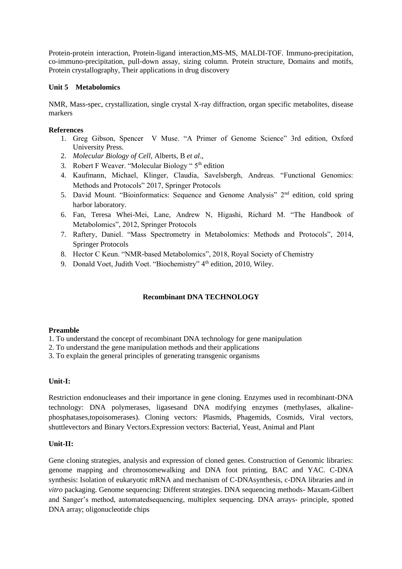Protein-protein interaction, Protein-ligand interaction,MS-MS, MALDI-TOF. Immuno-precipitation, co-immuno-precipitation, pull-down assay, sizing column. Protein structure, Domains and motifs, Protein crystallography, Their applications in drug discovery

## **Unit 5 Metabolomics**

NMR, Mass-spec, crystallization, single crystal X-ray diffraction, organ specific metabolites, disease markers

## **References**

- 1. Greg Gibson, Spencer V Muse. "A Primer of Genome Science" 3rd edition, Oxford University Press.
- 2. *Molecular Biology of Cell,* Alberts, B *et al*.,
- 3. Robert F Weaver. "Molecular Biology " 5<sup>th</sup> edition
- 4. Kaufmann, Michael, Klinger, Claudia, Savelsbergh, Andreas. "Functional Genomics: Methods and Protocols" 2017, Springer Protocols
- 5. David Mount. "Bioinformatics: Sequence and Genome Analysis" 2<sup>nd</sup> edition, cold spring harbor laboratory.
- 6. Fan, Teresa Whei-Mei, Lane, Andrew N, Higashi, Richard M. "The Handbook of Metabolomics", 2012, Springer Protocols
- 7. Raftery, Daniel. "Mass Spectrometry in Metabolomics: Methods and Protocols", 2014, Springer Protocols
- 8. Hector C Keun. "NMR-based Metabolomics", 2018, Royal Society of Chemistry
- 9. Donald Voet, Judith Voet. "Biochemistry" 4<sup>th</sup> edition, 2010, Wiley.

## **Recombinant DNA TECHNOLOGY**

## **Preamble**

- 1. To understand the concept of recombinant DNA technology for gene manipulation
- 2. To understand the gene manipulation methods and their applications
- 3. To explain the general principles of generating transgenic organisms

## **Unit-I:**

Restriction endonucleases and their importance in gene cloning. Enzymes used in recombinant-DNA technology: DNA polymerases, ligasesand DNA modifying enzymes (methylases, alkalinephosphatases,topoisomerases). Cloning vectors: Plasmids, Phagemids, Cosmids, Viral vectors, shuttlevectors and Binary Vectors.Expression vectors: Bacterial, Yeast, Animal and Plant

## **Unit-II:**

Gene cloning strategies, analysis and expression of cloned genes. Construction of Genomic libraries: genome mapping and chromosomewalking and DNA foot printing, BAC and YAC. C-DNA synthesis: Isolation of eukaryotic mRNA and mechanism of C-DNAsynthesis, c-DNA libraries and *in vitro* packaging. Genome sequencing: Different strategies. DNA sequencing methods- Maxam-Gilbert and Sanger's method, automatedsequencing, multiplex sequencing. DNA arrays- principle, spotted DNA array; oligonucleotide chips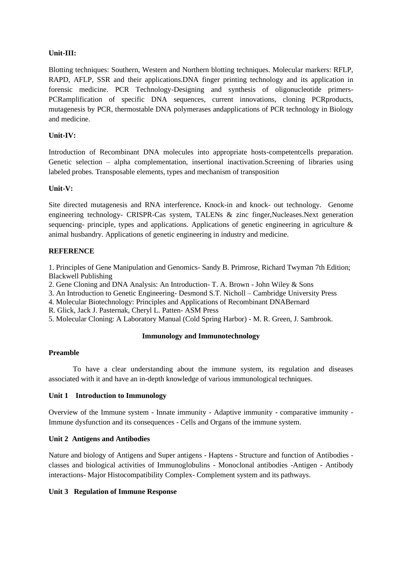## **Unit-III:**

Blotting techniques: Southern, Western and Northern blotting techniques. Molecular markers: RFLP, RAPD, AFLP, SSR and their applications.DNA finger printing technology and its application in forensic medicine. PCR Technology-Designing and synthesis of oligonucleotide primers-PCRamplification of specific DNA sequences, current innovations, cloning PCRproducts, mutagenesis by PCR, thermostable DNA polymerases andapplications of PCR technology in Biology and medicine.

## **Unit-IV:**

Introduction of Recombinant DNA molecules into appropriate hosts-competentcells preparation. Genetic selection – alpha complementation, insertional inactivation.Screening of libraries using labeled probes. Transposable elements, types and mechanism of transposition

## **Unit-V:**

Site directed mutagenesis and RNA interference**.** Knock-in and knock- out technology. Genome engineering technology- CRISPR-Cas system, TALENs & zinc finger,Nucleases.Next generation sequencing- principle, types and applications. Applications of genetic engineering in agriculture & animal husbandry. Applications of genetic engineering in industry and medicine.

## **REFERENCE**

1. Principles of Gene Manipulation and Genomics- Sandy B. Primrose, Richard Twyman 7th Edition; Blackwell Publishing

- 2. Gene Cloning and DNA Analysis: An Introduction- T. A. Brown John Wiley & Sons
- 3. An Introduction to Genetic Engineering- Desmond S.T. Nicholl Cambridge University Press
- 4. Molecular Biotechnology: Principles and Applications of Recombinant DNABernard
- R. Glick, Jack J. Pasternak, Cheryl L. Patten- ASM Press
- 5. Molecular Cloning: A Laboratory Manual (Cold Spring Harbor) M. R. Green, J. Sambrook.

## **Immunology and Immunotechnology**

## **Preamble**

To have a clear understanding about the immune system, its regulation and diseases associated with it and have an in-depth knowledge of various immunological techniques.

## **Unit 1 Introduction to Immunology**

Overview of the Immune system - Innate immunity - Adaptive immunity - comparative immunity - Immune dysfunction and its consequences - Cells and Organs of the immune system.

## **Unit 2 Antigens and Antibodies**

Nature and biology of Antigens and Super antigens - Haptens - Structure and function of Antibodies classes and biological activities of Immunoglobulins - Monoclonal antibodies -Antigen - Antibody interactions- Major Histocompatibility Complex- Complement system and its pathways.

## **Unit 3 Regulation of Immune Response**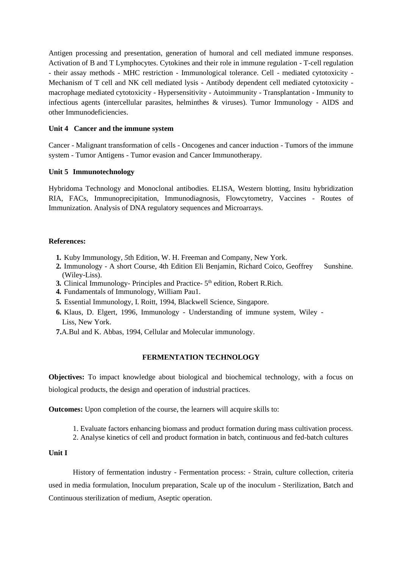Antigen processing and presentation, generation of humoral and cell mediated immune responses. Activation of B and T Lymphocytes. Cytokines and their role in immune regulation - T-cell regulation - their assay methods - MHC restriction - Immunological tolerance. Cell - mediated cytotoxicity - Mechanism of T cell and NK cell mediated lysis - Antibody dependent cell mediated cytotoxicity macrophage mediated cytotoxicity - Hypersensitivity - Autoimmunity - Transplantation - Immunity to infectious agents (intercellular parasites, helminthes  $\&$  viruses). Tumor Immunology - AIDS and other Immunodeficiencies.

## **Unit 4 Cancer and the immune system**

Cancer - Malignant transformation of cells - Oncogenes and cancer induction - Tumors of the immune system - Tumor Antigens - Tumor evasion and Cancer Immunotherapy.

#### **Unit 5 Immunotechnology**

Hybridoma Technology and Monoclonal antibodies. ELISA, Western blotting, Insitu hybridization RIA, FACs, Immunoprecipitation, Immunodiagnosis, Flowcytometry, Vaccines - Routes of Immunization. Analysis of DNA regulatory sequences and Microarrays.

## **References:**

- **1.** Kuby Immunology*, 5*th Edition, W. H. Freeman and Company, New York.
- 2. Immunology A short Course, 4th Edition Eli Benjamin, Richard Coico, Geoffrey Sunshine. (Wiley-Liss).
- 3. Clinical Immunology- Principles and Practice- 5<sup>th</sup> edition, Robert R.Rich.
- **4.** Fundamentals of Immunology*,* William Pau1.
- **5.** Essential Immunology, I. Roitt, 1994, Blackwell Science, Singapore.
- **6.** Klaus, D. Elgert, 1996, Immunology Understanding of immune system, Wiley Liss, New York.
- **7.**A.Bul and K. Abbas, 1994, Cellular and Molecular immunology.

#### **FERMENTATION TECHNOLOGY**

**Objectives:** To impact knowledge about biological and biochemical technology, with a focus on biological products, the design and operation of industrial practices.

**Outcomes:** Upon completion of the course, the learners will acquire skills to:

- 1. Evaluate factors enhancing biomass and product formation during mass cultivation process.
- 2. Analyse kinetics of cell and product formation in batch, continuous and fed-batch cultures

## **Unit I**

History of fermentation industry - Fermentation process: - Strain, culture collection, criteria used in media formulation, Inoculum preparation, Scale up of the inoculum - Sterilization, Batch and Continuous sterilization of medium, Aseptic operation.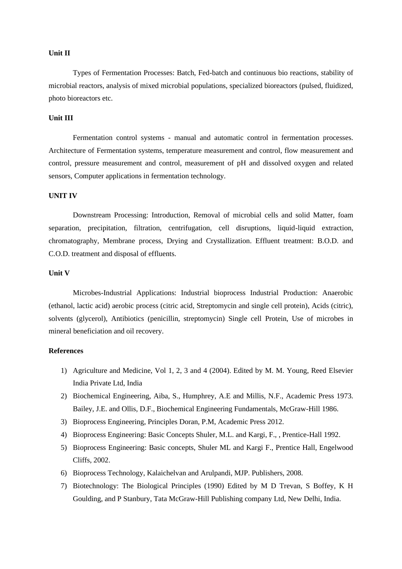#### **Unit II**

Types of Fermentation Processes: Batch, Fed-batch and continuous bio reactions, stability of microbial reactors, analysis of mixed microbial populations, specialized bioreactors (pulsed, fluidized, photo bioreactors etc.

## **Unit III**

Fermentation control systems - manual and automatic control in fermentation processes. Architecture of Fermentation systems, temperature measurement and control, flow measurement and control, pressure measurement and control, measurement of pH and dissolved oxygen and related sensors, Computer applications in fermentation technology.

#### **UNIT IV**

Downstream Processing: Introduction, Removal of microbial cells and solid Matter, foam separation, precipitation, filtration, centrifugation, cell disruptions, liquid-liquid extraction, chromatography, Membrane process, Drying and Crystallization. Effluent treatment: B.O.D. and C.O.D. treatment and disposal of effluents.

#### **Unit V**

Microbes-Industrial Applications: Industrial bioprocess Industrial Production: Anaerobic (ethanol, lactic acid) aerobic process (citric acid, Streptomycin and single cell protein), Acids (citric), solvents (glycerol), Antibiotics (penicillin, streptomycin) Single cell Protein, Use of microbes in mineral beneficiation and oil recovery.

## **References**

- 1) Agriculture and Medicine, Vol 1, 2, 3 and 4 (2004). Edited by M. M. Young, Reed Elsevier India Private Ltd, India
- 2) Biochemical Engineering, Aiba, S., Humphrey, A.E and Millis, N.F., Academic Press 1973. Bailey, J.E. and Ollis, D.F., Biochemical Engineering Fundamentals, McGraw-Hill 1986.
- 3) Bioprocess Engineering, Principles Doran, P.M, Academic Press 2012.
- 4) Bioprocess Engineering: Basic Concepts Shuler, M.L. and Kargi, F., , Prentice-Hall 1992.
- 5) Bioprocess Engineering: Basic concepts, Shuler ML and Kargi F., Prentice Hall, Engelwood Cliffs, 2002.
- 6) Bioprocess Technology, Kalaichelvan and Arulpandi, MJP. Publishers, 2008.
- 7) Biotechnology: The Biological Principles (1990) Edited by M D Trevan, S Boffey, K H Goulding, and P Stanbury, Tata McGraw-Hill Publishing company Ltd, New Delhi, India.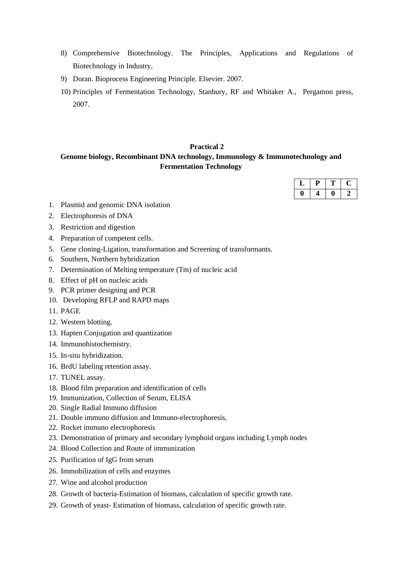- 8) Comprehensive Biotechnology. The Principles, Applications and Regulations of Biotechnology in Industry,
- 9) Doran. Bioprocess Engineering Principle. Elsevier. 2007.
- 10) Principles of Fermentation Technology, Stanbury, RF and Whitaker A., Pergamon press, 2007.

# **Practical 2**

## **Genome biology, Recombinant DNA technology, Immunology & Immunotechnology and Fermentation Technology**

- 1. Plasmid and genomic DNA isolation
- 2. Electrophoresis of DNA
- 3. Restriction and digestion
- 4. Preparation of competent cells.
- 5. Gene cloning-Ligation, transformation and Screening of transformants.
- 6. Southern, Northern hybridization
- 7. Determination of Melting temperature (Tm) of nucleic acid
- 8. Effect of pH on nucleic acids
- 9. PCR primer designing and PCR
- 10. Developing RFLP and RAPD maps
- 11. PAGE
- 12. Western blotting.
- 13. Hapten Conjugation and quantization
- 14. Immunohistochemistry.
- 15. In-situ hybridization.
- 16. BrdU labeling retention assay.
- 17. TUNEL assay.
- 18. Blood film preparation and identification of cells
- 19. Immunization, Collection of Serum, ELISA
- 20. Single Radial Immuno diffusion
- 21. Double immuno diffusion and Immuno-electrophoresis,
- 22. Rocket immuno electrophoresis
- 23. Demonstration of primary and secondary lymphoid organs including Lymph nodes
- 24. Blood Collection and Route of immunization
- 25. Purification of IgG from serum
- 26. Immobilization of cells and enzymes
- 27. Wine and alcohol production
- 28. Growth of bacteria-Estimation of biomass, calculation of specific growth rate.
- 29. Growth of yeast- Estimation of biomass, calculation of specific growth rate.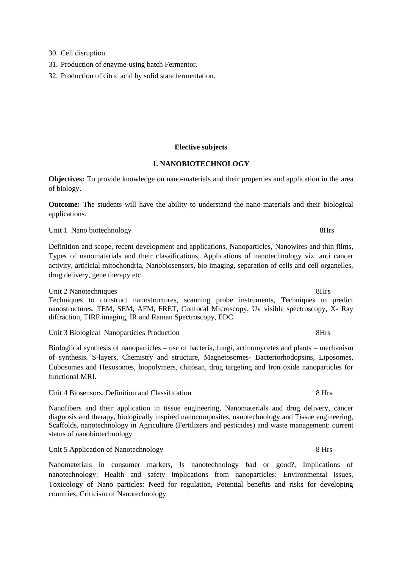- 30. Cell disruption
- 31. Production of enzyme-using batch Fermentor.
- 32. Production of citric acid by solid state fermentation.

#### **Elective subjects**

## **1. NANOBIOTECHNOLOGY**

**Objectives:** To provide knowledge on nano-materials and their properties and application in the area of biology.

**Outcome:** The students will have the ability to understand the nano-materials and their biological applications.

Unit 1 Nano biotechnology 8Hrs

Definition and scope, recent development and applications, Nanoparticles, Nanowires and thin films, Types of nanomaterials and their classifications, Applications of nanotechnology viz. anti cancer activity, artificial mitochondria, Nanobiosensors, bio imaging, separation of cells and cell organelles, drug delivery, gene therapy etc.

Unit 2 Nanotechniques 8Hrs Techniques to construct nanostructures, scanning probe instruments, Techniques to predict nanostructures, TEM, SEM, AFM, FRET, Confocal Microscopy, Uv visible spectroscopy, X- Ray diffraction, TIRF imaging, IR and Raman Spectroscopy, EDC.

Unit 3 Biological Nanoparticles Production 8Hrs

Biologiical synthesis of nanoparticles – use of bacteria, fungi, actinomycetes and plants – mechanism of synthesis. S-layers, Chemistry and structure, Magnetosomes- Bacteriorhodopsins, Liposomes, Cubosomes and Hexosomes, biopolymers, chitosan, drug targeting and Iron oxide nanoparticles for functional MRI.

Unit 4 Biosensors, Definition and Classification 8 Hrs

Nanofibers and their application in tissue engineering, Nanomaterials and drug delivery, cancer diagnosis and therapy, biologically inspired nanocomposites, nanotechnology and Tissue engineering, Scaffolds, nanotechnology in Agriculture (Fertilizers and pesticides) and waste management: current status of nanobiotechnology

Unit 5 Application of Nanotechnology 8 Hrs

Nanomaterials in consumer markets, Is nanotechnology bad or good?, Implications of nanotechnology: Health and safety implications from nanoparticles: Environmental issues, Toxicology of Nano particles: Need for regulation, Potential benefits and risks for developing countries, Criticism of Nanotechnology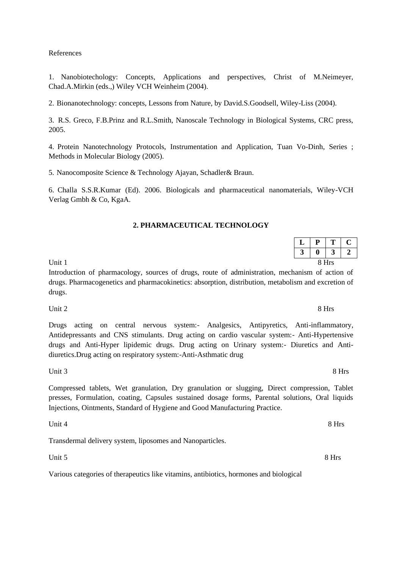## References

1. Nanobiotechology: Concepts, Applications and perspectives, Christ of M.Neimeyer, Chad.A.Mirkin (eds.,) Wiley VCH Weinheim (2004).

2. Bionanotechnology: concepts, Lessons from Nature, by David.S.Goodsell, Wiley-Liss (2004).

3. R.S. Greco, F.B.Prinz and R.L.Smith, Nanoscale Technology in Biological Systems, CRC press, 2005.

4. Protein Nanotechnology Protocols, Instrumentation and Application, Tuan Vo-Dinh, Series ; Methods in Molecular Biology (2005).

5. Nanocomposite Science & Technology Ajayan, Schadler& Braun.

6. Challa S.S.R.Kumar (Ed). 2006. Biologicals and pharmaceutical nanomaterials, Wiley-VCH Verlag Gmbh & Co, KgaA.

#### **2. PHARMACEUTICAL TECHNOLOGY**

| $\mathbf{L}$ | $\mathbf{p}$<br>л. | $\mathbf{T}$<br>л, | $\sqrt{ }$<br>◡ |  |
|--------------|--------------------|--------------------|-----------------|--|
| $\sim$<br>◡  | $\boldsymbol{0}$   | 3                  | ◠<br>◢          |  |
|              |                    | 8 Hrs              |                 |  |

Introduction of pharmacology, sources of drugs, route of administration, mechanism of action of drugs. Pharmacogenetics and pharmacokinetics: absorption, distribution, metabolism and excretion of drugs.

Unit 2 8 Hrs

Drugs acting on central nervous system:- Analgesics, Antipyretics, Anti-inflammatory, Antidepressants and CNS stimulants. Drug acting on cardio vascular system:- Anti-Hypertensive drugs and Anti-Hyper lipidemic drugs. Drug acting on Urinary system:- Diuretics and Antidiuretics.Drug acting on respiratory system:-Anti-Asthmatic drug

Unit 3 8 Hrs

Compressed tablets, Wet granulation, Dry granulation or slugging, Direct compression, Tablet presses, Formulation, coating, Capsules sustained dosage forms, Parental solutions, Oral liquids Injections, Ointments, Standard of Hygiene and Good Manufacturing Practice.

Unit 4 8 Hrs

Transdermal delivery system, liposomes and Nanoparticles.

Unit  $5 \times 8$  Hrs

Various categories of therapeutics like vitamins, antibiotics, hormones and biological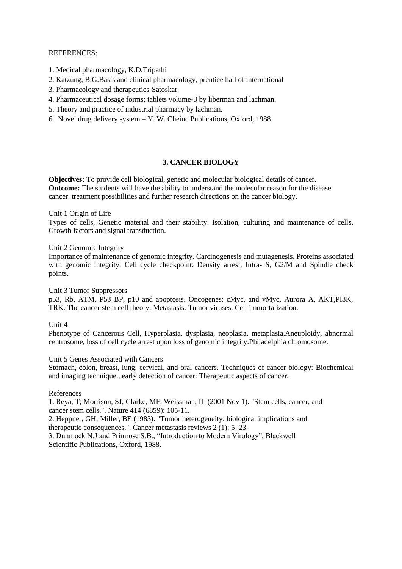## REFERENCES:

- 1. Medical pharmacology, K.D.Tripathi
- 2. Katzung, B.G.Basis and clinical pharmacology, prentice hall of international
- 3. Pharmacology and therapeutics-Satoskar
- 4. Pharmaceutical dosage forms: tablets volume-3 by liberman and lachman.
- 5. Theory and practice of industrial pharmacy by lachman.
- 6. Novel drug delivery system Y. W. Cheinc Publications, Oxford, 1988.

## **3. CANCER BIOLOGY**

**Objectives:** To provide cell biological, genetic and molecular biological details of cancer. **Outcome:** The students will have the ability to understand the molecular reason for the disease cancer, treatment possibilities and further research directions on the cancer biology.

Unit 1 Origin of Life

Types of cells, Genetic material and their stability. Isolation, culturing and maintenance of cells. Growth factors and signal transduction.

Unit 2 Genomic Integrity

Importance of maintenance of genomic integrity. Carcinogenesis and mutagenesis. Proteins associated with genomic integrity. Cell cycle checkpoint: Density arrest, Intra- S, G2/M and Spindle check points.

Unit 3 Tumor Suppressors

p53, Rb, ATM, P53 BP, p10 and apoptosis. Oncogenes: cMyc, and vMyc, Aurora A, AKT,PI3K, TRK. The cancer stem cell theory. Metastasis. Tumor viruses. Cell immortalization.

Unit 4

Phenotype of Cancerous Cell, Hyperplasia, dysplasia, neoplasia, metaplasia.Aneuploidy, abnormal centrosome, loss of cell cycle arrest upon loss of genomic integrity.Philadelphia chromosome.

## Unit 5 Genes Associated with Cancers

Stomach, colon, breast, lung, cervical, and oral cancers. Techniques of cancer biology: Biochemical and imaging technique., early detection of cancer: Therapeutic aspects of cancer.

References

1. Reya, T; Morrison, SJ; Clarke, MF; Weissman, IL (2001 Nov 1). "Stem cells, cancer, and cancer stem cells.". Nature 414 (6859): 105-11.

2. Heppner, GH; Miller, BE (1983). "Tumor heterogeneity: biological implications and therapeutic consequences.". Cancer metastasis reviews 2 (1): 5–23.

3. Dunmock N.J and Primrose S.B., "Introduction to Modern Virology", Blackwell Scientific Publications, Oxford, 1988.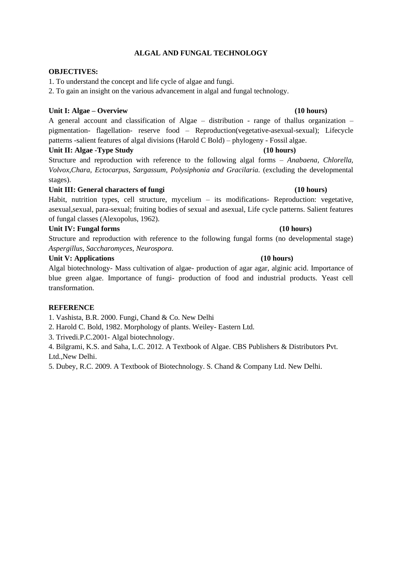## **ALGAL AND FUNGAL TECHNOLOGY**

## **OBJECTIVES:**

1. To understand the concept and life cycle of algae and fungi.

2. To gain an insight on the various advancement in algal and fungal technology.

## **Unit I: Algae – Overview (10 hours)**

A general account and classification of Algae – distribution - range of thallus organization – pigmentation- flagellation- reserve food – Reproduction(vegetative-asexual-sexual); Lifecycle patterns -salient features of algal divisions (Harold C Bold) – phylogeny - Fossil algae.

## Unit II: Algae -Type Study (10 hours)

Structure and reproduction with reference to the following algal forms – *Anabaena, Chlorella, Volvox,Chara, Ectocarpus, Sargassum, Polysiphonia and Gracilaria.* (excluding the developmental stages).

## Unit III: General characters of fungi **and the contract of the contract of the contract of the contract of the contract of the contract of the contract of the contract of the contract of the contract of the contract of the**

Habit, nutrition types, cell structure, mycelium – its modifications- Reproduction: vegetative, asexual,sexual, para-sexual; fruiting bodies of sexual and asexual, Life cycle patterns. Salient features of fungal classes (Alexopolus, 1962).

## Unit IV: Fungal forms (10 hours)

Structure and reproduction with reference to the following fungal forms (no developmental stage) *Aspergillus*, *Saccharomyces*, *Neurospora*.

## **Unit V: Applications (10 hours)**

Algal biotechnology- Mass cultivation of algae- production of agar agar, alginic acid. Importance of blue green algae. Importance of fungi- production of food and industrial products. Yeast cell transformation.

## **REFERENCE**

1. Vashista, B.R. 2000. Fungi, Chand & Co. New Delhi

- 2. Harold C. Bold, 1982. Morphology of plants. Weiley- Eastern Ltd.
- 3. Trivedi.P.C.2001- Algal biotechnology.

4. Bilgrami, K.S. and Saha, L.C. 2012. A Textbook of Algae. CBS Publishers & Distributors Pvt. Ltd.,New Delhi.

5. Dubey, R.C. 2009. A Textbook of Biotechnology. S. Chand & Company Ltd. New Delhi.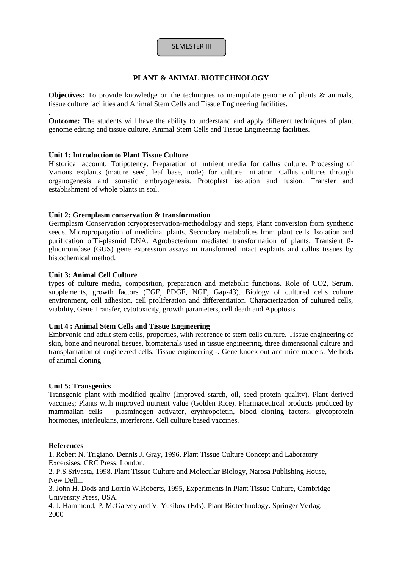## SEMESTER III

## **PLANT & ANIMAL BIOTECHNOLOGY**

**Objectives:** To provide knowledge on the techniques to manipulate genome of plants & animals, tissue culture facilities and Animal Stem Cells and Tissue Engineering facilities.

**Outcome:** The students will have the ability to understand and apply different techniques of plant genome editing and tissue culture, Animal Stem Cells and Tissue Engineering facilities.

#### **Unit 1: Introduction to Plant Tissue Culture**

Historical account, Totipotency. Preparation of nutrient media for callus culture. Processing of Various explants (mature seed, leaf base, node) for culture initiation. Callus cultures through organogenesis and somatic embryogenesis. Protoplast isolation and fusion. Transfer and establishment of whole plants in soil.

#### **Unit 2: Gremplasm conservation & transformation**

Germplasm Conservation :cryopreservation-methodology and steps, Plant conversion from synthetic seeds. Micropropagation of medicinal plants. Secondary metabolites from plant cells. Isolation and purification ofTi-plasmid DNA. Agrobacterium mediated transformation of plants. Transient ßglucuronidase (GUS) gene expression assays in transformed intact explants and callus tissues by histochemical method.

#### **Unit 3: Animal Cell Culture**

.

types of culture media, composition, preparation and metabolic functions. Role of CO2, Serum, supplements, growth factors (EGF, PDGF, NGF, Gap-43). Biology of cultured cells culture environment, cell adhesion, cell proliferation and differentiation. Characterization of cultured cells, viability, Gene Transfer, cytotoxicity, growth parameters, cell death and Apoptosis

## **Unit 4 : Animal Stem Cells and Tissue Engineering**

Embryonic and adult stem cells, properties, with reference to stem cells culture. Tissue engineering of skin, bone and neuronal tissues, biomaterials used in tissue engineering, three dimensional culture and transplantation of engineered cells. Tissue engineering -. Gene knock out and mice models. Methods of animal cloning

#### **Unit 5: Transgenics**

Transgenic plant with modified quality (Improved starch, oil, seed protein quality). Plant derived vaccines; Plants with improved nutrient value (Golden Rice). Pharmaceutical products produced by mammalian cells – plasminogen activator, erythropoietin, blood clotting factors, glycoprotein hormones, interleukins, interferons, Cell culture based vaccines.

#### **References**

1. Robert N. Trigiano. Dennis J. Gray, 1996, Plant Tissue Culture Concept and Laboratory Excersises. CRC Press, London.

2. P.S.Srivasta, 1998. Plant Tissue Culture and Molecular Biology, Narosa Publishing House, New Delhi.

3. John H. Dods and Lorrin W.Roberts, 1995, Experiments in Plant Tissue Culture, Cambridge University Press, USA.

4. J. Hammond, P. McGarvey and V. Yusibov (Eds): Plant Biotechnology. Springer Verlag, 2000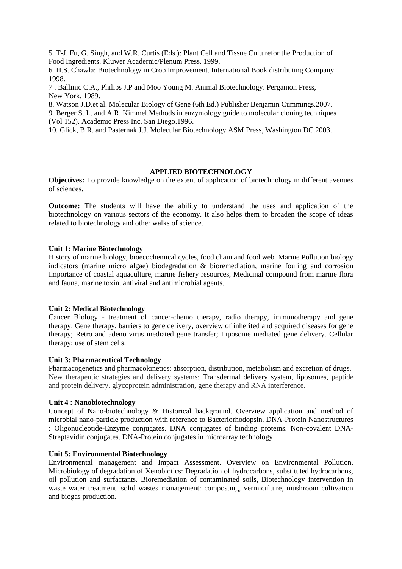5. T-J. Fu, G. Singh, and W.R. Curtis (Eds.): Plant Cell and Tissue Culturefor the Production of Food Ingredients. Kluwer Acadernic/Plenum Press. 1999.

6. H.S. Chawla: Biotechnology in Crop Improvement. International Book distributing Company. 1998.

7 . Ballinic C.A., Philips J.P and Moo Young M. Animal Biotechnology. Pergamon Press, New York. 1989.

8. Watson J.D.et al. Molecular Biology of Gene (6th Ed.) Publisher Benjamin Cummings.2007.

9. Berger S. L. and A.R. Kimmel.Methods in enzymology guide to molecular cloning techniques (Vol 152). Academic Press Inc. San Diego.1996.

10. Glick, B.R. and Pasternak J.J. Molecular Biotechnology.ASM Press, Washington DC.2003.

#### **APPLIED BIOTECHNOLOGY**

**Objectives:** To provide knowledge on the extent of application of biotechnology in different avenues of sciences.

**Outcome:** The students will have the ability to understand the uses and application of the biotechnology on various sectors of the economy. It also helps them to broaden the scope of ideas related to biotechnology and other walks of science.

## **Unit 1: Marine Biotechnology**

History of marine biology, bioecochemical cycles, food chain and food web. Marine Pollution biology indicators (marine micro algae) biodegradation & bioremediation, marine fouling and corrosion Importance of coastal aquaculture, marine fishery resources, Medicinal compound from marine flora and fauna, marine toxin, antiviral and antimicrobial agents.

#### **Unit 2: Medical Biotechnology**

Cancer Biology - treatment of cancer-chemo therapy, radio therapy, immunotherapy and gene therapy. Gene therapy, barriers to gene delivery, overview of inherited and acquired diseases for gene therapy; Retro and adeno virus mediated gene transfer; Liposome mediated gene delivery. Cellular therapy; use of stem cells.

#### **Unit 3: Pharmaceutical Technology**

Pharmacogenetics and pharmacokinetics: absorption, distribution, metabolism and excretion of drugs. New therapeutic strategies and delivery systems: Transdermal delivery system, liposomes, peptide and protein delivery, glycoprotein administration, gene therapy and RNA interference.

## **Unit 4 : Nanobiotechnology**

Concept of Nano-biotechnology & Historical background. Overview application and method of microbial nano-particle production with reference to Bacteriorhodopsin. DNA-Protein Nanostructures : Oligonucleotide-Enzyme conjugates. DNA conjugates of binding proteins. Non-covalent DNA-Streptavidin conjugates. DNA-Protein conjugates in microarray technology

## **Unit 5: Environmental Biotechnology**

Environmental management and Impact Assessment. Overview on Environmental Pollution, Microbiology of degradation of Xenobiotics: Degradation of hydrocarbons, substituted hydrocarbons, oil pollution and surfactants. Bioremediation of contaminated soils, Biotechnology intervention in waste water treatment. solid wastes management: composting, vermiculture, mushroom cultivation and biogas production.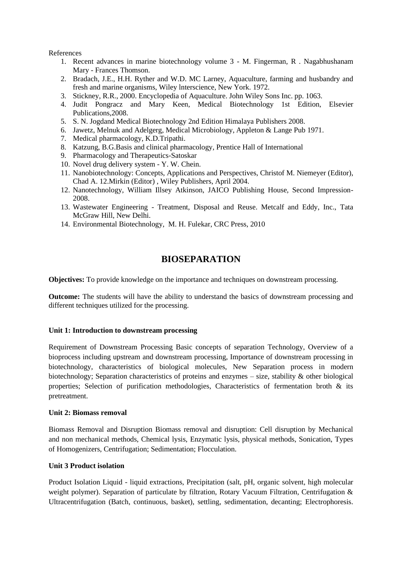## References

- 1. Recent advances in marine biotechnology volume 3 M. Fingerman, R . Nagabhushanam Mary - Frances Thomson.
- 2. Bradach, J.E., H.H. Ryther and W.D. MC Larney, Aquaculture, farming and husbandry and fresh and marine organisms, Wiley lnterscience, New York. 1972.
- 3. Stickney, R.R., 2000. Encyclopedia of Aquaculture. John Wiley Sons Inc. pp. 1063.
- 4. Judit Pongracz and Mary Keen, Medical Biotechnology 1st Edition, Elsevier Publications,2008.
- 5. S. N. Jogdand Medical Biotechnology 2nd Edition Himalaya Publishers 2008.
- 6. Jawetz, Melnuk and Adelgerg, Medical Microbiology, Appleton & Lange Pub 1971.
- 7. Medical pharmacology, K.D.Tripathi.
- 8. Katzung, B.G.Basis and clinical pharmacology, Prentice Hall of International
- 9. Pharmacology and Therapeutics-Satoskar
- 10. Novel drug delivery system Y. W. Chein.
- 11. Nanobiotechnology: Concepts, Applications and Perspectives, Christof M. Niemeyer (Editor), Chad A. 12.Mirkin (Editor) , Wiley Publishers, April 2004.
- 12. Nanotechnology, William Illsey Atkinson, JAICO Publishing House, Second Impression-2008.
- 13. Wastewater Engineering Treatment, Disposal and Reuse. Metcalf and Eddy, Inc., Tata McGraw Hill, New Delhi.
- 14. Environmental Biotechnology, M. H. Fulekar, CRC Press, 2010

# **BIOSEPARATION**

**Objectives:** To provide knowledge on the importance and techniques on downstream processing.

**Outcome:** The students will have the ability to understand the basics of downstream processing and different techniques utilized for the processing.

## **Unit 1: Introduction to downstream processing**

Requirement of Downstream Processing Basic concepts of separation Technology, Overview of a bioprocess including upstream and downstream processing, Importance of downstream processing in biotechnology, characteristics of biological molecules, New Separation process in modern biotechnology; Separation characteristics of proteins and enzymes – size, stability & other biological properties; Selection of purification methodologies, Characteristics of fermentation broth & its pretreatment.

## **Unit 2: Biomass removal**

Biomass Removal and Disruption Biomass removal and disruption: Cell disruption by Mechanical and non mechanical methods, Chemical lysis, Enzymatic lysis, physical methods, Sonication, Types of Homogenizers, Centrifugation; Sedimentation; Flocculation.

## **Unit 3 Product isolation**

Product Isolation Liquid - liquid extractions, Precipitation (salt, pH, organic solvent, high molecular weight polymer). Separation of particulate by filtration, Rotary Vacuum Filtration, Centrifugation & Ultracentrifugation (Batch, continuous, basket), settling, sedimentation, decanting; Electrophoresis.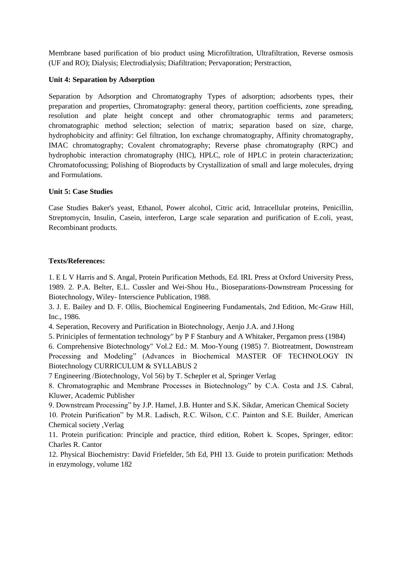Membrane based purification of bio product using Microfiltration, Ultrafiltration, Reverse osmosis (UF and RO); Dialysis; Electrodialysis; Diafiltration; Pervaporation; Perstraction,

## **Unit 4: Separation by Adsorption**

Separation by Adsorption and Chromatography Types of adsorption; adsorbents types, their preparation and properties, Chromatography: general theory, partition coefficients, zone spreading, resolution and plate height concept and other chromatographic terms and parameters; chromatographic method selection; selection of matrix; separation based on size, charge, hydrophobicity and affinity: Gel filtration, Ion exchange chromatography, Affinity chromatography, IMAC chromatography; Covalent chromatography; Reverse phase chromatography (RPC) and hydrophobic interaction chromatography (HIC), HPLC, role of HPLC in protein characterization; Chromatofocussing; Polishing of Bioproducts by Crystallization of small and large molecules, drying and Formulations.

## **Unit 5: Case Studies**

Case Studies Baker's yeast, Ethanol, Power alcohol, Citric acid, Intracellular proteins, Penicillin, Streptomycin, Insulin, Casein, interferon, Large scale separation and purification of E.coli, yeast, Recombinant products.

## **Texts/References:**

1. E L V Harris and S. Angal, Protein Purification Methods, Ed. IRL Press at Oxford University Press, 1989. 2. P.A. Belter, E.L. Cussler and Wei-Shou Hu., Bioseparations-Downstream Processing for Biotechnology, Wiley- Interscience Publication, 1988.

3. J. E. Bailey and D. F. Ollis, Biochemical Engineering Fundamentals, 2nd Edition, Mc-Graw Hill, Inc., 1986.

4. Seperation, Recovery and Purification in Biotechnology, Aenjo J.A. and J.Hong

5. Priniciples of fermentation technology" by P F Stanbury and A Whitaker, Pergamon press (1984)

6. Comprehensive Biotechnology" Vol.2 Ed.: M. Moo-Young (1985) 7. Biotreatment, Downstream Processing and Modeling" (Advances in Biochemical MASTER OF TECHNOLOGY IN Biotechnology CURRICULUM & SYLLABUS 2

7 Engineering /Biotechnology, Vol 56) by T. Schepler et al, Springer Verlag

8. Chromatographic and Membrane Processes in Biotechnology" by C.A. Costa and J.S. Cabral, Kluwer, Academic Publisher

9. Downstream Processing" by J.P. Hamel, J.B. Hunter and S.K. Sikdar, American Chemical Society

10. Protein Purification" by M.R. Ladisch, R.C. Wilson, C.C. Painton and S.E. Builder, American Chemical society ,Verlag

11. Protein purification: Principle and practice, third edition, Robert k. Scopes, Springer, editor: Charles R. Cantor

12. Physical Biochemistry: David Friefelder, 5th Ed, PHI 13. Guide to protein purification: Methods in enzymology, volume 182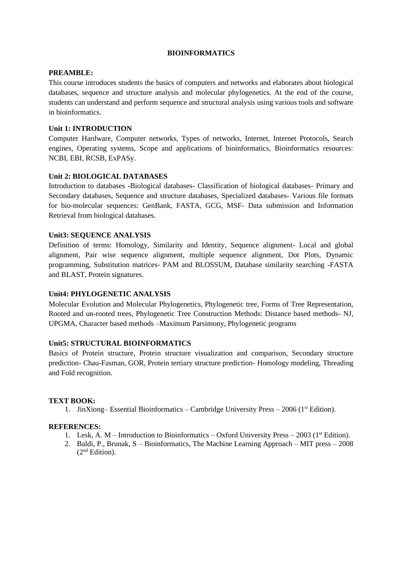## **BIOINFORMATICS**

## **PREAMBLE:**

This course introduces students the basics of computers and networks and elaborates about biological databases, sequence and structure analysis and molecular phylogenetics. At the end of the course, students can understand and perform sequence and structural analysis using various tools and software in bioinformatics.

## **Unit 1: INTRODUCTION**

Computer Hardware, Computer networks, Types of networks, Internet, Internet Protocols, Search engines, Operating systems, Scope and applications of bioinformatics, Bioinformatics resources: NCBI, EBI, RCSB, ExPASy.

## **Unit 2: BIOLOGICAL DATABASES**

Introduction to databases -Biological databases- Classification of biological databases- Primary and Secondary databases, Sequence and structure databases, Specialized databases**-** Various file formats for bio-molecular sequences: GenBank, FASTA, GCG, MSF- Data submission and Information Retrieval from biological databases.

## **Unit3: SEQUENCE ANALYSIS**

Definition of terms: Homology, Similarity and Identity, Sequence alignment- Local and global alignment, Pair wise sequence alignment, multiple sequence alignment, Dot Plots, Dynamic programming, Substitution matrices- PAM and BLOSSUM, Database similarity searching -FASTA and BLAST, Protein signatures.

## **Unit4: PHYLOGENETIC ANALYSIS**

Molecular Evolution and Molecular Phylogenetics, Phylogenetic tree, Forms of Tree Representation, Rooted and un-rooted trees, Phylogenetic Tree Construction Methods: Distance based methods- NJ, UPGMA, Character based methods –Maximum Parsimony, Phylogenetic programs

## **Unit5: STRUCTURAL BIOINFORMATICS**

Basics of Protein structure, Protein structure visualization and comparison, Secondary structure prediction- Chau-Fasman, GOR, Protein tertiary structure prediction- Homology modeling, Threading and Fold recognition.

## **TEXT BOOK:**

1. JinXiong– Essential Bioinformatics – Cambridge University Press – 2006 (1<sup>st</sup> Edition).

## **REFERENCES:**

- 1. Lesk, A. M Introduction to Bioinformatics Oxford University Press 2003 (1<sup>st</sup> Edition).
- 2. Baldi, P., Brunak, S Bioinformatics, The Machine Learning Approach MIT press 2008  $(2<sup>nd</sup> Edition).$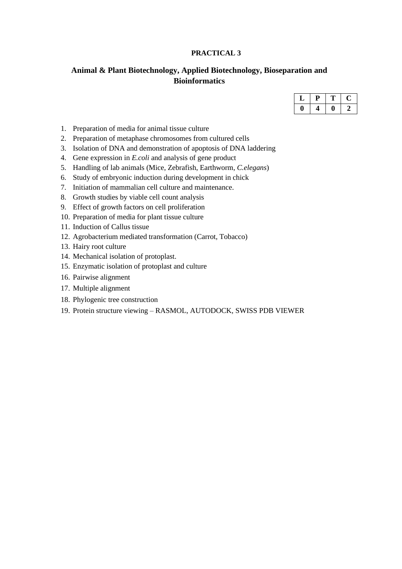## **PRACTICAL 3**

# **Animal & Plant Biotechnology, Applied Biotechnology, Bioseparation and Bioinformatics**

- 1. Preparation of media for animal tissue culture
- 2. Preparation of metaphase chromosomes from cultured cells
- 3. Isolation of DNA and demonstration of apoptosis of DNA laddering
- 4. Gene expression in *E.coli* and analysis of gene product
- 5. Handling of lab animals (Mice, Zebrafish, Earthworm, *C.elegans*)
- 6. Study of embryonic induction during development in chick
- 7. Initiation of mammalian cell culture and maintenance.
- 8. Growth studies by viable cell count analysis
- 9. Effect of growth factors on cell proliferation
- 10. Preparation of media for plant tissue culture
- 11. Induction of Callus tissue
- 12. Agrobacterium mediated transformation (Carrot, Tobacco)
- 13. Hairy root culture
- 14. Mechanical isolation of protoplast.
- 15. Enzymatic isolation of protoplast and culture
- 16. Pairwise alignment
- 17. Multiple alignment
- 18. Phylogenic tree construction
- 19. Protein structure viewing RASMOL, AUTODOCK, SWISS PDB VIEWER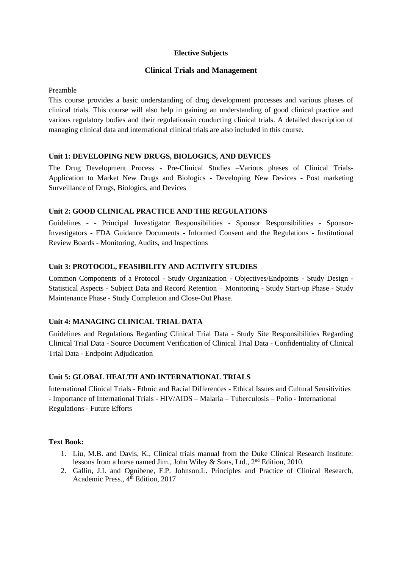## **Elective Subjects**

## **Clinical Trials and Management**

Preamble

This course provides a basic understanding of drug development processes and various phases of clinical trials. This course will also help in gaining an understanding of good clinical practice and various regulatory bodies and their regulationsin conducting clinical trials. A detailed description of managing clinical data and international clinical trials are also included in this course.

## **Unit 1: DEVELOPING NEW DRUGS, BIOLOGICS, AND DEVICES**

The Drug Development Process - Pre-Clinical Studies –Various phases of Clinical Trials-Application to Market New Drugs and Biologics - Developing New Devices - Post marketing Surveillance of Drugs, Biologics, and Devices

## **Unit 2: GOOD CLINICAL PRACTICE AND THE REGULATIONS**

Guidelines - - Principal Investigator Responsibilities - Sponsor Responsibilities - Sponsor-Investigators - FDA Guidance Documents - Informed Consent and the Regulations - Institutional Review Boards - Monitoring, Audits, and Inspections

## **Unit 3: PROTOCOL, FEASIBILITY AND ACTIVITY STUDIES**

Common Components of a Protocol - Study Organization - Objectives/Endpoints - Study Design - Statistical Aspects - Subject Data and Record Retention – Monitoring - Study Start-up Phase - Study Maintenance Phase - Study Completion and Close-Out Phase.

## **Unit 4: MANAGING CLINICAL TRIAL DATA**

Guidelines and Regulations Regarding Clinical Trial Data - Study Site Responsibilities Regarding Clinical Trial Data - Source Document Verification of Clinical Trial Data - Confidentiality of Clinical Trial Data - Endpoint Adjudication

## **Unit 5: GLOBAL HEALTH AND INTERNATIONAL TRIALS**

International Clinical Trials - Ethnic and Racial Differences - Ethical Issues and Cultural Sensitivities - Importance of International Trials - HIV/AIDS – Malaria – Tuberculosis – Polio - International Regulations - Future Efforts

## **Text Book:**

- 1. Liu, M.B. and Davis, K., Clinical trials manual from the Duke Clinical Research Institute: lessons from a horse named Jim., John Wiley & Sons, Ltd., 2nd Edition, 2010.
- 2. Gallin, J.I. and Ognibene, F.P. Johnson.L. Principles and Practice of Clinical Research, Academic Press., 4<sup>th</sup> Edition, 2017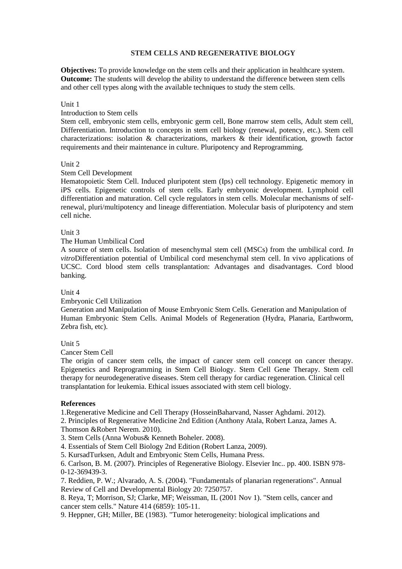## **STEM CELLS AND REGENERATIVE BIOLOGY**

**Objectives:** To provide knowledge on the stem cells and their application in healthcare system. **Outcome:** The students will develop the ability to understand the difference between stem cells and other cell types along with the available techniques to study the stem cells.

#### Unit 1

## Introduction to Stem cells

Stem cell, embryonic stem cells, embryonic germ cell, Bone marrow stem cells, Adult stem cell, Differentiation. Introduction to concepts in stem cell biology (renewal, potency, etc.). Stem cell characterizations: isolation & characterizations, markers & their identification, growth factor requirements and their maintenance in culture. Pluripotency and Reprogramming.

#### Unit 2

#### Stem Cell Development

Hematopoietic Stem Cell. Induced pluripotent stem (Ips) cell technology. Epigenetic memory in iPS cells. Epigenetic controls of stem cells. Early embryonic development. Lymphoid cell differentiation and maturation. Cell cycle regulators in stem cells. Molecular mechanisms of selfrenewal, pluri/multipotency and lineage differentiation. Molecular basis of pluripotency and stem cell niche.

#### Unit 3

## The Human Umbilical Cord

A source of stem cells. Isolation of mesenchymal stem cell (MSCs) from the umbilical cord. *In vitro*Differentiation potential of Umbilical cord mesenchymal stem cell. In vivo applications of UCSC. Cord blood stem cells transplantation: Advantages and disadvantages. Cord blood banking.

## Unit 4

#### Embryonic Cell Utilization

Generation and Manipulation of Mouse Embryonic Stem Cells. Generation and Manipulation of Human Embryonic Stem Cells. Animal Models of Regeneration (Hydra, Planaria, Earthworm, Zebra fish, etc).

## Unit 5

Cancer Stem Cell

The origin of cancer stem cells, the impact of cancer stem cell concept on cancer therapy. Epigenetics and Reprogramming in Stem Cell Biology. Stem Cell Gene Therapy. Stem cell therapy for neurodegenerative diseases. Stem cell therapy for cardiac regeneration. Clinical cell transplantation for leukemia. Ethical issues associated with stem cell biology.

## **References**

1.Regenerative Medicine and Cell Therapy (HosseinBaharvand, Nasser Aghdami. 2012).

2. Principles of Regenerative Medicine 2nd Edition (Anthony Atala, Robert Lanza, James A. Thomson &Robert Nerem. 2010).

3. Stem Cells (Anna Wobus& Kenneth Boheler. 2008).

4. Essentials of Stem Cell Biology 2nd Edition (Robert Lanza, 2009).

5. KursadTurksen, Adult and Embryonic Stem Cells, Humana Press.

6. Carlson, B. M. (2007). Principles of Regenerative Biology. Elsevier Inc.. pp. 400. ISBN 978- 0-12-369439-3.

7. Reddien, P. W.; Alvarado, A. S. (2004). "Fundamentals of planarian regenerations". Annual Review of Cell and Developmental Biology 20: 7250757.

8. Reya, T; Morrison, SJ; Clarke, MF; Weissman, IL (2001 Nov 1). "Stem cells, cancer and cancer stem cells." Nature 414 (6859): 105-11.

9. Heppner, GH; Miller, BE (1983). "Tumor heterogeneity: biological implications and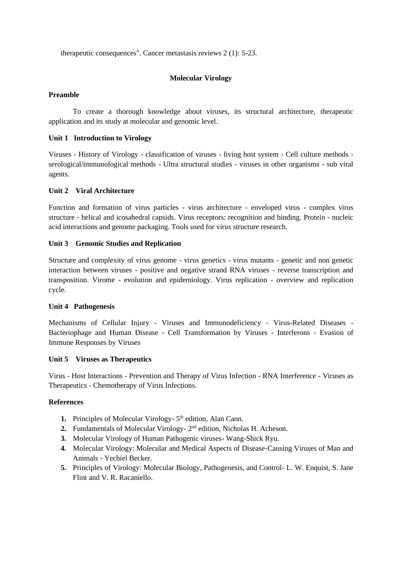therapeutic consequences". Cancer metastasis reviews 2 (1): 5-23.

## **Molecular Virology**

## **Preamble**

To create a thorough knowledge about viruses, its structural architecture, therapeutic application and its study at molecular and genomic level.

## **Unit 1 Introduction to Virology**

Viruses - History of Virology - classification of viruses - living host system - Cell culture methods serological/immunological methods - Ultra structural studies - viruses in other organisms - sub viral agents.

## **Unit 2 Viral Architecture**

Function and formation of virus particles - virus architecture - enveloped virus - complex virus structure - helical and icosahedral capsids. Virus receptors: recognition and binding. Protein - nucleic acid interactions and genome packaging. Tools used for virus structure research.

## **Unit 3 Genomic Studies and Replication**

Structure and complexity of virus genome - virus genetics - virus mutants - genetic and non genetic interaction between viruses - positive and negative strand RNA viruses - reverse transcription and transposition. Virome - evolution and epidemiology. Virus replication - overview and replication cycle.

## **Unit 4 Pathogenesis**

Mechanisms of Cellular Injury - Viruses and Immunodeficiency - Virus-Related Diseases - Bacteriophage and Human Disease - Cell Transformation by Viruses - Interferons - Evasion of Immune Responses by Viruses

## **Unit 5 Viruses as Therapeutics**

Virus - Host Interactions - Prevention and Therapy of Virus Infection - RNA Interference - Viruses as Therapeutics - Chemotherapy of Virus Infections.

## **References**

- 1. Principles of Molecular Virology- 5<sup>th</sup> edition, Alan Cann.
- 2. Fundamentals of Molecular Virology- 2<sup>nd</sup> edition, Nicholas H. Acheson.
- **3.** Molecular Virology of Human Pathogenic viruses- Wang-Shick Ryu.
- **4.** Molecular Virology: Molecular and Medical Aspects of Disease-Causing Viruses of Man and Animals - Yechiel Becker.
- **5.** Principles of Virology: Molecular Biology, Pathogenesis, and Control- L. W. Enquist, S. Jane Flint and V. R. Racaniello.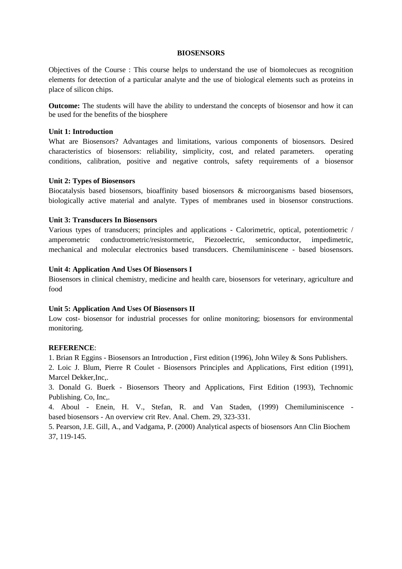#### **BIOSENSORS**

Objectives of the Course : This course helps to understand the use of biomolecues as recognition elements for detection of a particular analyte and the use of biological elements such as proteins in place of silicon chips.

**Outcome:** The students will have the ability to understand the concepts of biosensor and how it can be used for the benefits of the biosphere

## **Unit 1: Introduction**

What are Biosensors? Advantages and limitations, various components of biosensors. Desired characteristics of biosensors: reliability, simplicity, cost, and related parameters. operating conditions, calibration, positive and negative controls, safety requirements of a biosensor

#### **Unit 2: Types of Biosensors**

Biocatalysis based biosensors, bioaffinity based biosensors & microorganisms based biosensors, biologically active material and analyte. Types of membranes used in biosensor constructions.

#### **Unit 3: Transducers In Biosensors**

Various types of transducers; principles and applications - Calorimetric, optical, potentiometric / amperometric conductrometric/resistormetric, Piezoelectric, semiconductor, impedimetric, mechanical and molecular electronics based transducers. Chemiluminiscene - based biosensors.

#### **Unit 4: Application And Uses Of Biosensors I**

Biosensors in clinical chemistry, medicine and health care, biosensors for veterinary, agriculture and food

#### **Unit 5: Application And Uses Of Biosensors II**

Low cost- biosensor for industrial processes for online monitoring; biosensors for environmental monitoring.

#### **REFERENCE**:

1. Brian R Eggins - Biosensors an Introduction , First edition (1996), John Wiley & Sons Publishers.

2. Loic J. Blum, Pierre R Coulet - Biosensors Principles and Applications, First edition (1991), Marcel Dekker,Inc,.

3. Donald G. Buerk - Biosensors Theory and Applications, First Edition (1993), Technomic Publishing. Co, Inc,.

4. Aboul - Enein, H. V., Stefan, R. and Van Staden, (1999) Chemiluminiscence based biosensors - An overview crit Rev. Anal. Chem. 29, 323-331.

5. Pearson, J.E. Gill, A., and Vadgama, P. (2000) Analytical aspects of biosensors Ann Clin Biochem 37, 119-145.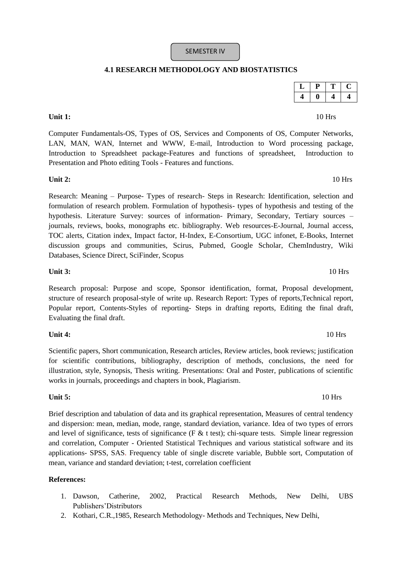# SEMESTER IV

# **4.1 RESEARCH METHODOLOGY AND BIOSTATISTICS**

Computer Fundamentals-OS, Types of OS, Services and Components of OS, Computer Networks, LAN, MAN, WAN, Internet and WWW, E-mail, Introduction to Word processing package, Introduction to Spreadsheet package-Features and functions of spreadsheet, Introduction to Presentation and Photo editing Tools - Features and functions.

## **Unit 2:** 10 Hrs

Research: Meaning – Purpose- Types of research- Steps in Research: Identification, selection and formulation of research problem. Formulation of hypothesis- types of hypothesis and testing of the hypothesis. Literature Survey: sources of information- Primary, Secondary, Tertiary sources – journals, reviews, books, monographs etc. bibliography. Web resources-E-Journal, Journal access, TOC alerts, Citation index, Impact factor, H-Index, E-Consortium, UGC infonet, E-Books, Internet discussion groups and communities, Scirus, Pubmed, Google Scholar, ChemIndustry, Wiki Databases, Science Direct, SciFinder, Scopus

#### **Unit 3:** 10 Hrs

Research proposal: Purpose and scope, Sponsor identification, format, Proposal development, structure of research proposal-style of write up. Research Report: Types of reports,Technical report, Popular report, Contents-Styles of reporting- Steps in drafting reports, Editing the final draft, Evaluating the final draft.

## **Unit 4:** 10 Hrs

Scientific papers, Short communication, Research articles, Review articles, book reviews; justification for scientific contributions, bibliography, description of methods, conclusions, the need for illustration, style, Synopsis, Thesis writing. Presentations: Oral and Poster, publications of scientific works in journals, proceedings and chapters in book, Plagiarism.

## **Unit 5:** 10 Hrs

Brief description and tabulation of data and its graphical representation, Measures of central tendency and dispersion: mean, median, mode, range, standard deviation, variance. Idea of two types of errors and level of significance, tests of significance (F  $\&$  t test); chi-square tests. Simple linear regression and correlation, Computer - Oriented Statistical Techniques and various statistical software and its applications- SPSS, SAS. Frequency table of single discrete variable, Bubble sort, Computation of mean, variance and standard deviation; t-test, correlation coefficient

## **References:**

- 1. Dawson, Catherine, 2002, Practical Research Methods, New Delhi, UBS Publishers'Distributors
- 2. Kothari, C.R.,1985, Research Methodology- Methods and Techniques, New Delhi,

# **Unit 1:** 10 Hrs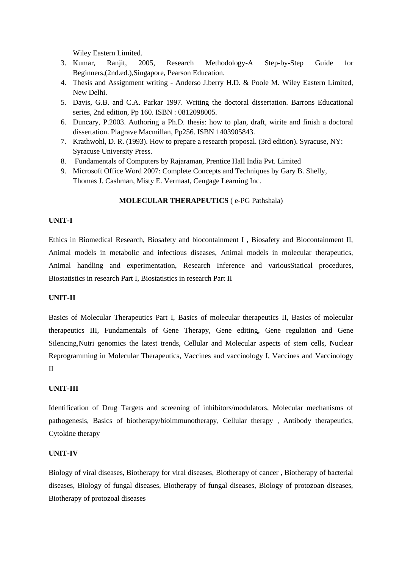Wiley Eastern Limited.

- 3. Kumar, Ranjit, 2005, Research Methodology-A Step-by-Step Guide for Beginners,(2nd.ed.),Singapore, Pearson Education.
- 4. Thesis and Assignment writing Anderso J.berry H.D. & Poole M. Wiley Eastern Limited, New Delhi.
- 5. Davis, G.B. and C.A. Parkar 1997. Writing the doctoral dissertation. Barrons Educational series, 2nd edition, Pp 160. ISBN : 0812098005.
- 6. Duncary, P.2003. Authoring a Ph.D. thesis: how to plan, draft, wirite and finish a doctoral dissertation. Plagrave Macmillan, Pp256. ISBN 1403905843.
- 7. Krathwohl, D. R. (1993). How to prepare a research proposal. (3rd edition). Syracuse, NY: Syracuse University Press.
- 8. Fundamentals of Computers by Rajaraman, Prentice Hall India Pvt. Limited
- 9. Microsoft Office Word 2007: Complete Concepts and Techniques by Gary B. Shelly, Thomas J. Cashman, Misty E. Vermaat, Cengage Learning Inc.

#### **MOLECULAR THERAPEUTICS** ( e-PG Pathshala)

### **UNIT-I**

Ethics in Biomedical Research, Biosafety and biocontainment I , Biosafety and Biocontainment II, Animal models in metabolic and infectious diseases, Animal models in molecular therapeutics, Animal handling and experimentation, Research Inference and variousStatical procedures, Biostatistics in research Part I, Biostatistics in research Part II

#### **UNIT-II**

Basics of Molecular Therapeutics Part I, Basics of molecular therapeutics II, Basics of molecular therapeutics III, Fundamentals of Gene Therapy, Gene editing, Gene regulation and Gene Silencing,Nutri genomics the latest trends, Cellular and Molecular aspects of stem cells, Nuclear Reprogramming in Molecular Therapeutics, Vaccines and vaccinology I, Vaccines and Vaccinology II

## **UNIT-III**

Identification of Drug Targets and screening of inhibitors/modulators, Molecular mechanisms of pathogenesis, Basics of biotherapy/bioimmunotherapy, Cellular therapy , Antibody therapeutics, Cytokine therapy

#### **UNIT-IV**

Biology of viral diseases, Biotherapy for viral diseases, Biotherapy of cancer , Biotherapy of bacterial diseases, Biology of fungal diseases, Biotherapy of fungal diseases, Biology of protozoan diseases, Biotherapy of protozoal diseases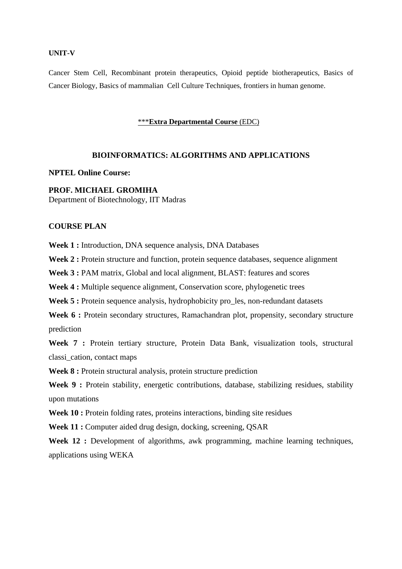#### **UNIT-V**

Cancer Stem Cell, Recombinant protein therapeutics, Opioid peptide biotherapeutics, Basics of Cancer Biology, Basics of mammalian Cell Culture Techniques, frontiers in human genome.

#### \*\*\***Extra Departmental Course** (EDC)

## **BIOINFORMATICS: ALGORITHMS AND APPLICATIONS**

## **NPTEL Online Course:**

## **PROF. MICHAEL GROMIHA**

Department of Biotechnology, IIT Madras

## **COURSE PLAN**

**Week 1 :** Introduction, DNA sequence analysis, DNA Databases

Week 2 : Protein structure and function, protein sequence databases, sequence alignment

Week 3 : PAM matrix, Global and local alignment, BLAST: features and scores

Week 4 : Multiple sequence alignment, Conservation score, phylogenetic trees

Week 5 : Protein sequence analysis, hydrophobicity pro\_les, non-redundant datasets

Week 6 : Protein secondary structures, Ramachandran plot, propensity, secondary structure prediction

Week 7 : Protein tertiary structure, Protein Data Bank, visualization tools, structural classi\_cation, contact maps

Week 8 : Protein structural analysis, protein structure prediction

Week 9 : Protein stability, energetic contributions, database, stabilizing residues, stability upon mutations

Week 10 : Protein folding rates, proteins interactions, binding site residues

**Week 11 :** Computer aided drug design, docking, screening, QSAR

Week 12 : Development of algorithms, awk programming, machine learning techniques, applications using WEKA